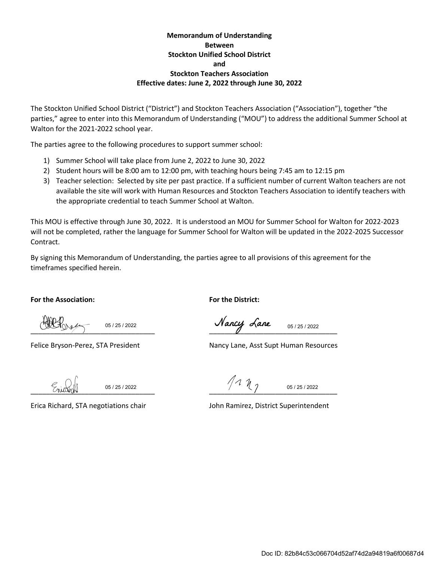#### **Memorandum of Understanding Between Stockton Unified School District and Stockton Teachers Association Effective dates: June 2, 2022 through June 30, 2022**

The Stockton Unified School District ("District") and Stockton Teachers Association ("Association"), together "the parties," agree to enter into this Memorandum of Understanding ("MOU") to address the additional Summer School at Walton for the 2021-2022 school year.

The parties agree to the following procedures to support summer school:

- 1) Summer School will take place from June 2, 2022 to June 30, 2022
- 2) Student hours will be 8:00 am to 12:00 pm, with teaching hours being 7:45 am to 12:15 pm
- 3) Teacher selection: Selected by site per past practice. If a sufficient number of current Walton teachers are not available the site will work with Human Resources and Stockton Teachers Association to identify teachers with the appropriate credential to teach Summer School at Walton.

This MOU is effective through June 30, 2022. It is understood an MOU for Summer School for Walton for 2022-2023 will not be completed, rather the language for Summer School for Walton will be updated in the 2022-2025 Successor Contract.

By signing this Memorandum of Understanding, the parties agree to all provisions of this agreement for the timeframes specified herein.

**For the Association: For the District:**

05 / 25 / 2022

\_\_\_\_\_\_\_\_\_\_\_\_\_\_\_\_\_\_\_\_\_\_\_\_\_\_\_\_\_\_\_\_ \_\_\_\_\_\_\_\_\_\_\_\_\_\_\_\_\_\_\_\_\_\_\_\_\_\_\_\_\_\_\_\_\_ 05 / 25 / 2022

Felice Bryson-Perez, STA President Nancy Lane, Asst Supt Human Resources

05 / 25 / 2022

 $111$ 05 / 25 / 2022

Erica Richard, STA negotiations chair John Ramirez, District Superintendent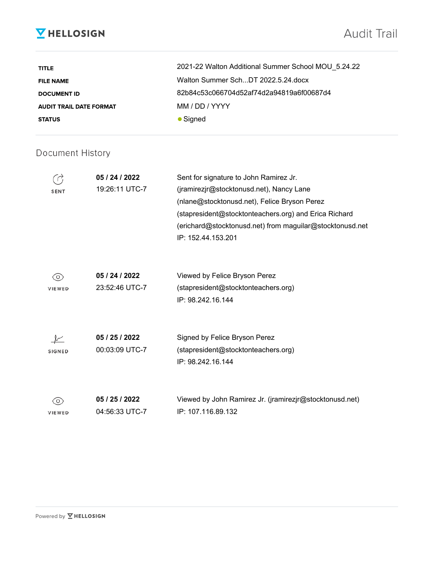# **V** HELLOSIGN

# Audit Trail

| <b>TITLE</b>                   | 2021-22 Walton Additional Summer School MOU 5.24.22 |
|--------------------------------|-----------------------------------------------------|
| <b>FILE NAME</b>               | Walton Summer SchDT 2022.5.24.docx                  |
| <b>DOCUMENT ID</b>             | 82b84c53c066704d52af74d2a94819a6f00687d4            |
| <b>AUDIT TRAIL DATE FORMAT</b> | MM / DD / YYYY                                      |
| <b>STATUS</b>                  | $\bullet$ Signed                                    |

### Document History

| <b>SENT</b>              | 05 / 24 / 2022<br>19:26:11 UTC-7 | Sent for signature to John Ramirez Jr.<br>(jramirezjr@stocktonusd.net), Nancy Lane<br>(nlane@stocktonusd.net), Felice Bryson Perez<br>(stapresident@stocktonteachers.org) and Erica Richard<br>(erichard@stocktonusd.net) from maguilar@stocktonusd.net<br>IP: 152.44.153.201 |
|--------------------------|----------------------------------|-------------------------------------------------------------------------------------------------------------------------------------------------------------------------------------------------------------------------------------------------------------------------------|
| O)<br>VIEWED             | 05 / 24 / 2022<br>23:52:46 UTC-7 | Viewed by Felice Bryson Perez<br>(stapresident@stocktonteachers.org)<br>IP: 98.242.16.144                                                                                                                                                                                     |
| <b>SIGNED</b>            | 05 / 25 / 2022<br>00:03:09 UTC-7 | Signed by Felice Bryson Perez<br>(stapresident@stocktonteachers.org)<br>IP: 98.242.16.144                                                                                                                                                                                     |
| $\circ$<br><b>VIEWED</b> | 05 / 25 / 2022<br>04:56:33 UTC-7 | Viewed by John Ramirez Jr. (jramirezjr@stocktonusd.net)<br>IP: 107.116.89.132                                                                                                                                                                                                 |